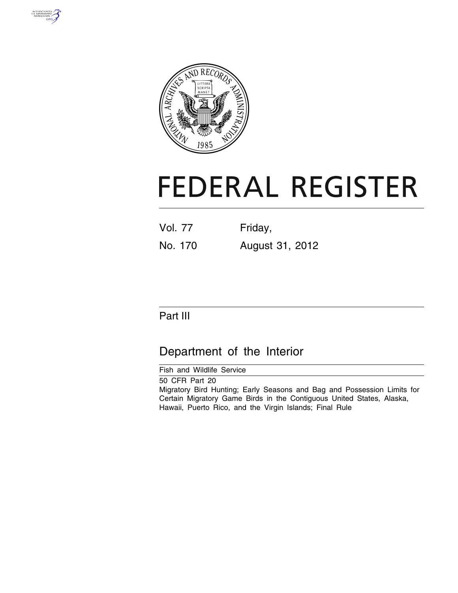



# **FEDERAL REGISTER**

| <b>Vol. 77</b> | Friday,         |
|----------------|-----------------|
| No. 170        | August 31, 2012 |

# Part III

# Department of the Interior

Fish and Wildlife Service

50 CFR Part 20 Migratory Bird Hunting; Early Seasons and Bag and Possession Limits for Certain Migratory Game Birds in the Contiguous United States, Alaska, Hawaii, Puerto Rico, and the Virgin Islands; Final Rule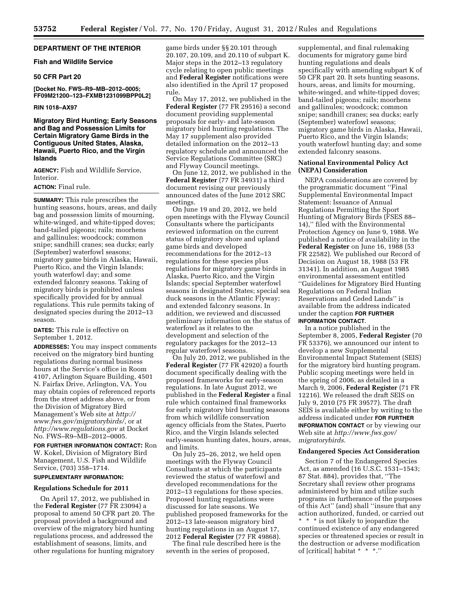# **DEPARTMENT OF THE INTERIOR**

#### **Fish and Wildlife Service**

# **50 CFR Part 20**

**[Docket No. FWS–R9–MB–2012–0005; FF09M21200–123–FXMB1231099BPP0L2]** 

#### **RIN 1018–AX97**

**Migratory Bird Hunting; Early Seasons and Bag and Possession Limits for Certain Migratory Game Birds in the Contiguous United States, Alaska, Hawaii, Puerto Rico, and the Virgin Islands** 

**AGENCY:** Fish and Wildlife Service, Interior.

# **ACTION:** Final rule.

**SUMMARY:** This rule prescribes the hunting seasons, hours, areas, and daily bag and possession limits of mourning, white-winged, and white-tipped doves; band-tailed pigeons; rails; moorhens and gallinules; woodcock; common snipe; sandhill cranes; sea ducks; early (September) waterfowl seasons; migratory game birds in Alaska, Hawaii, Puerto Rico, and the Virgin Islands; youth waterfowl day; and some extended falconry seasons. Taking of migratory birds is prohibited unless specifically provided for by annual regulations. This rule permits taking of designated species during the 2012–13 season.

**DATES:** This rule is effective on September 1, 2012.

**ADDRESSES:** You may inspect comments received on the migratory bird hunting regulations during normal business hours at the Service's office in Room 4107, Arlington Square Building, 4501 N. Fairfax Drive, Arlington, VA. You may obtain copies of referenced reports from the street address above, or from the Division of Migratory Bird Management's Web site at *[http://](http://www.fws.gov/migratorybirds/) [www.fws.gov/migratorybirds/,](http://www.fws.gov/migratorybirds/)* or at *<http://www.regulations.gov>* at Docket No. FWS–R9–MB–2012–0005.

**FOR FURTHER INFORMATION CONTACT:** Ron W. Kokel, Division of Migratory Bird Management, U.S. Fish and Wildlife Service, (703) 358–1714.

# **SUPPLEMENTARY INFORMATION:**

#### **Regulations Schedule for 2011**

On April 17, 2012, we published in the **Federal Register** (77 FR 23094) a proposal to amend 50 CFR part 20. The proposal provided a background and overview of the migratory bird hunting regulations process, and addressed the establishment of seasons, limits, and other regulations for hunting migratory

game birds under §§ 20.101 through 20.107, 20.109, and 20.110 of subpart K. Major steps in the 2012–13 regulatory cycle relating to open public meetings and **Federal Register** notifications were also identified in the April 17 proposed rule.

On May 17, 2012, we published in the **Federal Register** (77 FR 29516) a second document providing supplemental proposals for early- and late-season migratory bird hunting regulations. The May 17 supplement also provided detailed information on the 2012–13 regulatory schedule and announced the Service Regulations Committee (SRC) and Flyway Council meetings.

On June 12, 2012, we published in the **Federal Register** (77 FR 34931) a third document revising our previously announced dates of the June 2012 SRC meetings.

On June 19 and 20, 2012, we held open meetings with the Flyway Council Consultants where the participants reviewed information on the current status of migratory shore and upland game birds and developed recommendations for the 2012–13 regulations for these species plus regulations for migratory game birds in Alaska, Puerto Rico, and the Virgin Islands; special September waterfowl seasons in designated States; special sea duck seasons in the Atlantic Flyway; and extended falconry seasons. In addition, we reviewed and discussed preliminary information on the status of waterfowl as it relates to the development and selection of the regulatory packages for the 2012–13 regular waterfowl seasons.

On July 20, 2012, we published in the **Federal Register** (77 FR 42920) a fourth document specifically dealing with the proposed frameworks for early-season regulations. In late August 2012, we published in the **Federal Register** a final rule which contained final frameworks for early migratory bird hunting seasons from which wildlife conservation agency officials from the States, Puerto Rico, and the Virgin Islands selected early-season hunting dates, hours, areas, and limits.

On July 25–26, 2012, we held open meetings with the Flyway Council Consultants at which the participants reviewed the status of waterfowl and developed recommendations for the 2012–13 regulations for these species. Proposed hunting regulations were discussed for late seasons. We published proposed frameworks for the 2012–13 late-season migratory bird hunting regulations in an August 17, 2012 **Federal Register** (77 FR 49868).

The final rule described here is the seventh in the series of proposed,

supplemental, and final rulemaking documents for migratory game bird hunting regulations and deals specifically with amending subpart K of 50 CFR part 20. It sets hunting seasons, hours, areas, and limits for mourning, white-winged, and white-tipped doves; band-tailed pigeons; rails; moorhens and gallinules; woodcock; common snipe; sandhill cranes; sea ducks; early (September) waterfowl seasons; migratory game birds in Alaska, Hawaii, Puerto Rico, and the Virgin Islands; youth waterfowl hunting day; and some extended falconry seasons.

#### **National Environmental Policy Act (NEPA) Consideration**

NEPA considerations are covered by the programmatic document ''Final Supplemental Environmental Impact Statement: Issuance of Annual Regulations Permitting the Sport Hunting of Migratory Birds (FSES 88– 14),'' filed with the Environmental Protection Agency on June 9, 1988. We published a notice of availability in the **Federal Register** on June 16, 1988 (53 FR 22582). We published our Record of Decision on August 18, 1988 (53 FR 31341). In addition, an August 1985 environmental assessment entitled ''Guidelines for Migratory Bird Hunting Regulations on Federal Indian Reservations and Ceded Lands'' is available from the address indicated under the caption **FOR FURTHER INFORMATION CONTACT**.

In a notice published in the September 8, 2005, **Federal Register** (70 FR 53376), we announced our intent to develop a new Supplemental Environmental Impact Statement (SEIS) for the migratory bird hunting program. Public scoping meetings were held in the spring of 2006, as detailed in a March 9, 2006, **Federal Register** (71 FR 12216). We released the draft SEIS on July 9, 2010 (75 FR 39577). The draft SEIS is available either by writing to the address indicated under **FOR FURTHER INFORMATION CONTACT** or by viewing our Web site at *[http://www.fws.gov/](http://www.fws.gov/migratorybirds) [migratorybirds](http://www.fws.gov/migratorybirds)*.

#### **Endangered Species Act Consideration**

Section 7 of the Endangered Species Act, as amended (16 U.S.C. 1531–1543; 87 Stat. 884), provides that, ''The Secretary shall review other programs administered by him and utilize such programs in furtherance of the purposes of this Act'' (and) shall ''insure that any action authorized, funded, or carried out \* \* \* is not likely to jeopardize the continued existence of any endangered species or threatened species or result in the destruction or adverse modification of [critical] habitat \* \* \*.''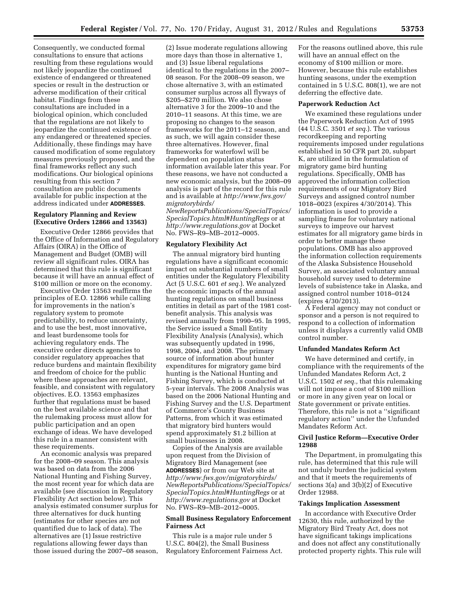Consequently, we conducted formal consultations to ensure that actions resulting from these regulations would not likely jeopardize the continued existence of endangered or threatened species or result in the destruction or adverse modification of their critical habitat. Findings from these consultations are included in a biological opinion, which concluded that the regulations are not likely to jeopardize the continued existence of any endangered or threatened species. Additionally, these findings may have caused modification of some regulatory measures previously proposed, and the final frameworks reflect any such modifications. Our biological opinions resulting from this section 7 consultation are public documents available for public inspection at the address indicated under **ADDRESSES**.

#### **Regulatory Planning and Review (Executive Orders 12866 and 13563)**

Executive Order 12866 provides that the Office of Information and Regulatory Affairs (OIRA) in the Office of Management and Budget (OMB) will review all significant rules. OIRA has determined that this rule is significant because it will have an annual effect of \$100 million or more on the economy.

Executive Order 13563 reaffirms the principles of E.O. 12866 while calling for improvements in the nation's regulatory system to promote predictability, to reduce uncertainty, and to use the best, most innovative, and least burdensome tools for achieving regulatory ends. The executive order directs agencies to consider regulatory approaches that reduce burdens and maintain flexibility and freedom of choice for the public where these approaches are relevant, feasible, and consistent with regulatory objectives. E.O. 13563 emphasizes further that regulations must be based on the best available science and that the rulemaking process must allow for public participation and an open exchange of ideas. We have developed this rule in a manner consistent with these requirements.

An economic analysis was prepared for the 2008–09 season. This analysis was based on data from the 2006 National Hunting and Fishing Survey, the most recent year for which data are available (see discussion in Regulatory Flexibility Act section below). This analysis estimated consumer surplus for three alternatives for duck hunting (estimates for other species are not quantified due to lack of data). The alternatives are (1) Issue restrictive regulations allowing fewer days than those issued during the 2007–08 season,

(2) Issue moderate regulations allowing more days than those in alternative 1, and (3) Issue liberal regulations identical to the regulations in the 2007– 08 season. For the 2008–09 season, we chose alternative 3, with an estimated consumer surplus across all flyways of \$205–\$270 million. We also chose alternative 3 for the 2009–10 and the 2010–11 seasons. At this time, we are proposing no changes to the season frameworks for the 2011–12 season, and as such, we will again consider these three alternatives. However, final frameworks for waterfowl will be dependent on population status information available later this year. For these reasons, we have not conducted a new economic analysis, but the 2008–09 analysis is part of the record for this rule and is available at *[http://www.fws.gov/](http://www.fws.gov/migratorybirds/NewReportsPublications/SpecialTopics/SpecialTopics.html#HuntingRegs) [migratorybirds/](http://www.fws.gov/migratorybirds/NewReportsPublications/SpecialTopics/SpecialTopics.html#HuntingRegs)* 

*[NewReportsPublications/SpecialTopics/](http://www.fws.gov/migratorybirds/NewReportsPublications/SpecialTopics/SpecialTopics.html#HuntingRegs)  [SpecialTopics.html#HuntingRegs](http://www.fws.gov/migratorybirds/NewReportsPublications/SpecialTopics/SpecialTopics.html#HuntingRegs)* or at *<http://www.regulations.gov>* at Docket No. FWS–R9–MB–2012–0005.

#### **Regulatory Flexibility Act**

The annual migratory bird hunting regulations have a significant economic impact on substantial numbers of small entities under the Regulatory Flexibility Act (5 U.S.C. 601 *et seq.*). We analyzed the economic impacts of the annual hunting regulations on small business entities in detail as part of the 1981 costbenefit analysis. This analysis was revised annually from 1990–95. In 1995, the Service issued a Small Entity Flexibility Analysis (Analysis), which was subsequently updated in 1996, 1998, 2004, and 2008. The primary source of information about hunter expenditures for migratory game bird hunting is the National Hunting and Fishing Survey, which is conducted at 5-year intervals. The 2008 Analysis was based on the 2006 National Hunting and Fishing Survey and the U.S. Department of Commerce's County Business Patterns, from which it was estimated that migratory bird hunters would spend approximately \$1.2 billion at small businesses in 2008.

Copies of the Analysis are available upon request from the Division of Migratory Bird Management (see **ADDRESSES**) or from our Web site at *[http://www.fws.gov/migratorybirds/](http://www.fws.gov/migratorybirds/NewReportsPublications/SpecialTopics/SpecialTopics.html#HuntingRegs)  [NewReportsPublications/SpecialTopics/](http://www.fws.gov/migratorybirds/NewReportsPublications/SpecialTopics/SpecialTopics.html#HuntingRegs)  [SpecialTopics.html#HuntingRegs](http://www.fws.gov/migratorybirds/NewReportsPublications/SpecialTopics/SpecialTopics.html#HuntingRegs)* or at *<http://www.regulations.gov>* at Docket No. FWS–R9–MB–2012–0005.

# **Small Business Regulatory Enforcement Fairness Act**

This rule is a major rule under 5 U.S.C. 804(2), the Small Business Regulatory Enforcement Fairness Act.

For the reasons outlined above, this rule will have an annual effect on the economy of \$100 million or more. However, because this rule establishes hunting seasons, under the exemption contained in 5 U.S.C. 808(1), we are not deferring the effective date.

#### **Paperwork Reduction Act**

We examined these regulations under the Paperwork Reduction Act of 1995 (44 U.S.C. 3501 *et seq.*). The various recordkeeping and reporting requirements imposed under regulations established in 50 CFR part 20, subpart K, are utilized in the formulation of migratory game bird hunting regulations. Specifically, OMB has approved the information collection requirements of our Migratory Bird Surveys and assigned control number 1018–0023 (expires 4/30/2014). This information is used to provide a sampling frame for voluntary national surveys to improve our harvest estimates for all migratory game birds in order to better manage these populations. OMB has also approved the information collection requirements of the Alaska Subsistence Household Survey, an associated voluntary annual household survey used to determine levels of subsistence take in Alaska, and assigned control number 1018–0124 (expires 4/30/2013).

A Federal agency may not conduct or sponsor and a person is not required to respond to a collection of information unless it displays a currently valid OMB control number.

#### **Unfunded Mandates Reform Act**

We have determined and certify, in compliance with the requirements of the Unfunded Mandates Reform Act, 2 U.S.C. 1502 *et seq.,* that this rulemaking will not impose a cost of \$100 million or more in any given year on local or State government or private entities. Therefore, this rule is not a ''significant regulatory action'' under the Unfunded Mandates Reform Act.

# **Civil Justice Reform—Executive Order 12988**

The Department, in promulgating this rule, has determined that this rule will not unduly burden the judicial system and that it meets the requirements of sections 3(a) and 3(b)(2) of Executive Order 12988.

#### **Takings Implication Assessment**

In accordance with Executive Order 12630, this rule, authorized by the Migratory Bird Treaty Act, does not have significant takings implications and does not affect any constitutionally protected property rights. This rule will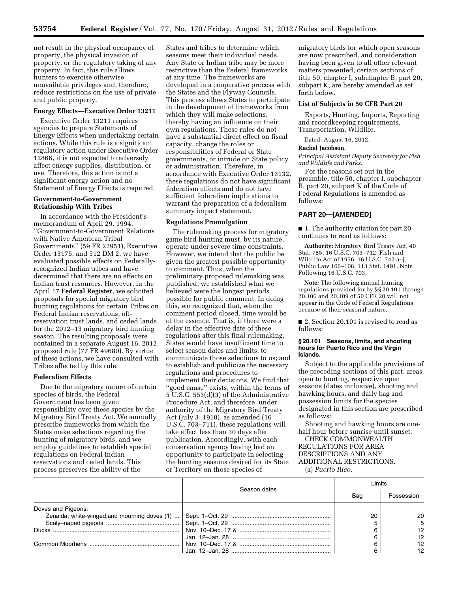not result in the physical occupancy of property, the physical invasion of property, or the regulatory taking of any property. In fact, this rule allows hunters to exercise otherwise unavailable privileges and, therefore, reduce restrictions on the use of private and public property.

#### **Energy Effects—Executive Order 13211**

Executive Order 13211 requires agencies to prepare Statements of Energy Effects when undertaking certain actions. While this rule is a significant regulatory action under Executive Order 12866, it is not expected to adversely affect energy supplies, distribution, or use. Therefore, this action is not a significant energy action and no Statement of Energy Effects is required.

### **Government-to-Government Relationship With Tribes**

In accordance with the President's memorandum of April 29, 1994, ''Government-to-Government Relations with Native American Tribal Governments'' (59 FR 22951), Executive Order 13175, and 512 DM 2, we have evaluated possible effects on Federallyrecognized Indian tribes and have determined that there are no effects on Indian trust resources. However, in the April 17 **Federal Register**, we solicited proposals for special migratory bird hunting regulations for certain Tribes on Federal Indian reservations, offreservation trust lands, and ceded lands for the 2012–13 migratory bird hunting season. The resulting proposals were contained in a separate August 16, 2012, proposed rule (77 FR 49680). By virtue of these actions, we have consulted with Tribes affected by this rule.

#### **Federalism Effects**

Due to the migratory nature of certain species of birds, the Federal Government has been given responsibility over these species by the Migratory Bird Treaty Act. We annually prescribe frameworks from which the States make selections regarding the hunting of migratory birds, and we employ guidelines to establish special regulations on Federal Indian reservations and ceded lands. This process preserves the ability of the

States and tribes to determine which seasons meet their individual needs. Any State or Indian tribe may be more restrictive than the Federal frameworks at any time. The frameworks are developed in a cooperative process with the States and the Flyway Councils. This process allows States to participate in the development of frameworks from which they will make selections, thereby having an influence on their own regulations. These rules do not have a substantial direct effect on fiscal capacity, change the roles or responsibilities of Federal or State governments, or intrude on State policy or administration. Therefore, in accordance with Executive Order 13132, these regulations do not have significant federalism effects and do not have sufficient federalism implications to warrant the preparation of a federalism summary impact statement.

#### **Regulations Promulgation**

The rulemaking process for migratory game bird hunting must, by its nature, operate under severe time constraints. However, we intend that the public be given the greatest possible opportunity to comment. Thus, when the preliminary proposed rulemaking was published, we established what we believed were the longest periods possible for public comment. In doing this, we recognized that, when the comment period closed, time would be of the essence. That is, if there were a delay in the effective date of these regulations after this final rulemaking, States would have insufficient time to select season dates and limits; to communicate those selections to us; and to establish and publicize the necessary regulations and procedures to implement their decisions. We find that ''good cause'' exists, within the terms of 5 U.S.C. 553(d)(3) of the Administrative Procedure Act, and therefore, under authority of the Migratory Bird Treaty Act (July 3, 1918), as amended (16 U.S.C. 703–711), these regulations will take effect less than 30 days after publication. Accordingly, with each conservation agency having had an opportunity to participate in selecting the hunting seasons desired for its State or Territory on those species of

migratory birds for which open seasons are now prescribed, and consideration having been given to all other relevant matters presented, certain sections of title 50, chapter I, subchapter B, part 20, subpart K, are hereby amended as set forth below.

#### **List of Subjects in 50 CFR Part 20**

Exports, Hunting, Imports, Reporting and recordkeeping requirements, Transportation, Wildlife.

Dated: August 16, 2012.

# **Rachel Jacobson,**

*Principal Assistant Deputy Secretary for Fish and Wildlife and Parks.* 

For the reasons set out in the preamble, title 50, chapter I, subchapter B, part 20, subpart K of the Code of Federal Regulations is amended as follows:

#### **PART 20—[AMENDED]**

■ 1. The authority citation for part 20 continues to read as follows:

**Authority:** Migratory Bird Treaty Act, 40 Stat. 755, 16 U.S.C. 703–712; Fish and Wildlife Act of 1956, 16 U.S.C. 742 a–j, Public Law 106–108, 113 Stat. 1491, Note Following 16 U.S.C. 703.

**Note:** The following annual hunting regulations provided for by §§ 20.101 through 20.106 and 20.109 of 50 CFR 20 will not appear in the Code of Federal Regulations because of their seasonal nature.

■ 2. Section 20.101 is revised to read as follows:

#### **§ 20.101 Seasons, limits, and shooting hours for Puerto Rico and the Virgin Islands.**

Subject to the applicable provisions of the preceding sections of this part, areas open to hunting, respective open seasons (dates inclusive), shooting and hawking hours, and daily bag and possession limits for the species designated in this section are prescribed as follows:

Shooting and hawking hours are onehalf hour before sunrise until sunset.

CHECK COMMONWEALTH REGULATIONS FOR AREA DESCRIPTIONS AND ANY ADDITIONAL RESTRICTIONS. (a) *Puerto Rico.* 

T

|                    | Season dates | imits |            |  |
|--------------------|--------------|-------|------------|--|
|                    |              | Bag   | Possession |  |
| Doves and Pigeons: |              |       |            |  |
|                    |              | 20    | 20         |  |
|                    |              |       | 5          |  |
|                    |              |       | 12         |  |
|                    |              |       | 12         |  |
|                    |              |       | 12         |  |
|                    |              |       | 12         |  |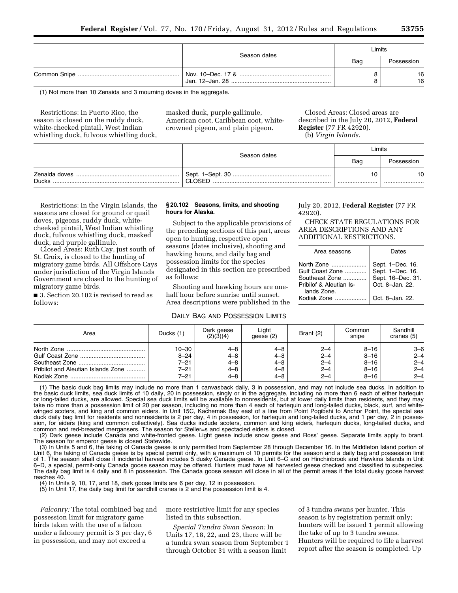| Season dates | Limits |            |  |
|--------------|--------|------------|--|
|              | Bag    | Possession |  |
|              |        | 16<br>16   |  |

(1) Not more than 10 Zenaida and 3 mourning doves in the aggregate.

Restrictions: In Puerto Rico, the season is closed on the ruddy duck, white-cheeked pintail, West Indian whistling duck, fulvous whistling duck, masked duck, purple gallinule, American coot, Caribbean coot, whitecrowned pigeon, and plain pigeon.

Closed Areas: Closed areas are described in the July 20, 2012, **Federal Register** (77 FR 42920). (b) *Virgin Islands.* 

|                               | Season dates | Limits |            |  |
|-------------------------------|--------------|--------|------------|--|
|                               |              | Bag    | Possession |  |
| Zenaida doves<br><b>Ducks</b> | CLOSED       |        | 10<br>     |  |

Restrictions: In the Virgin Islands, the seasons are closed for ground or quail doves, pigeons, ruddy duck, whitecheeked pintail, West Indian whistling duck, fulvous whistling duck, masked duck, and purple gallinule.

Closed Areas: Ruth Cay, just south of St. Croix, is closed to the hunting of migratory game birds. All Offshore Cays under jurisdiction of the Virgin Islands Government are closed to the hunting of migratory game birds.

■ 3. Section 20.102 is revised to read as follows:

#### **§ 20.102 Seasons, limits, and shooting hours for Alaska.**

Subject to the applicable provisions of the preceding sections of this part, areas open to hunting, respective open seasons (dates inclusive), shooting and hawking hours, and daily bag and possession limits for the species designated in this section are prescribed as follows:

Shooting and hawking hours are onehalf hour before sunrise until sunset. Area descriptions were published in the

## DAILY BAG AND POSSESSION LIMITS

July 20, 2012, **Federal Register** (77 FR 42920).

CHECK STATE REGULATIONS FOR AREA DESCRIPTIONS AND ANY ADDITIONAL RESTRICTIONS.

| Area seasons                                                                                             | Dates                                                                                           |
|----------------------------------------------------------------------------------------------------------|-------------------------------------------------------------------------------------------------|
| North Zone<br>Gulf Coast Zone<br>Southeast Zone<br>Pribilof & Aleutian Is-<br>lands Zone.<br>Kodiak Zone | Sept. 1-Dec. 16.<br>Sept. 1-Dec. 16.<br>Sept. 16-Dec. 31.<br>Oct. 8-Jan. 22.<br>Oct. 8-Jan. 22. |

| Area                                                                                                                                         | Ducks (1) | Dark geese<br>(2)(3)(4) | Liaht<br>qeese (2) | Brant (2) | Common<br>snipe | Sandhill<br>cranes (5) |
|----------------------------------------------------------------------------------------------------------------------------------------------|-----------|-------------------------|--------------------|-----------|-----------------|------------------------|
|                                                                                                                                              | 10-30     | $4 - 8$                 | 4–8                | $2 - 4$   | $8 - 16$        | $3 - 6$                |
|                                                                                                                                              | $8 - 24$  | $4 - 8$                 | 4–8                | $2 - 4$   | $8 - 16$        | $2 - 4$                |
|                                                                                                                                              | 7–21      | $4 - 8$                 | 4–8                | $2 - 4$   | $8 - 16$        | $2 - 4$                |
| Pribilof and Aleutian Islands Zone                                                                                                           | $7 - 21$  | $4 - 8$                 | 4–8                | $2 - 4$   | $8 - 16$        | $2 - 4$                |
|                                                                                                                                              | 7–21      | $4 - 8$                 | 4–8                | $2 - 4$   | $8 - 16$        | $2 - 4$                |
| (1) The besie duale best justice may include no mare than 1 convectoral delly 2 in personagion, and may not include aso duale in oddition to |           |                         |                    |           |                 |                        |

(1) The basic duck bag limits may include no more than 1 canvasback daily, 3 in possession, and may not include sea ducks. In addition to the basic duck limits, sea duck limits of 10 daily, 20 in possession, singly or in the aggregate, including no more than 6 each of either harlequin or long-tailed ducks, are allowed. Special sea duck limits will be available to nonresidents, but at lower daily limits than residents, and they may<br>take no more than a possession limit of 20 per season, including no more winged scoters, and king and common eiders. In Unit 15C, Kachemak Bay east of a line from Point Pogibshi to Anchor Point, the special sea duck daily bag limit for residents and nonresidents is 2 per day, 4 in possession, for harlequin and long-tailed ducks, and 1 per day, 2 in possession, for eiders (king and common collectively). Sea ducks include scoters, common and king eiders, harlequin ducks, long-tailed ducks, and common and red-breasted mergansers. The season for Steller=s and spectacled eiders is closed.

(2) Dark geese include Canada and white-fronted geese. Light geese include snow geese and Ross' geese. Separate limits apply to brant. The season for emperor geese is closed Statewide.

(3) In Units 5 and 6, the taking of Canada geese is only permitted from September 28 through December 16. In the Middleton Island portion of Unit 6, the taking of Canada geese is by special permit only, with a maximum of 10 permits for the season and a daily bag and possession limit of 1. The season shall close if incidental harvest includes 5 dusky Canada geese. In Unit 6–C and on Hinchinbrook and Hawkins Islands in Unit 6–D, a special, permit-only Canada goose season may be offered. Hunters must have all harvested geese checked and classified to subspecies. The daily bag limit is 4 daily and 8 in possession. The Canada goose season will close in all of the permit areas if the total dusky goose harvest reaches 40.

(4) In Units 9, 10, 17, and 18, dark goose limits are 6 per day, 12 in possession.

(5) In Unit 17, the daily bag limit for sandhill cranes is 2 and the possession limit is 4.

*Falconry:* The total combined bag and possession limit for migratory game birds taken with the use of a falcon under a falconry permit is 3 per day, 6 in possession, and may not exceed a

more restrictive limit for any species listed in this subsection.

*Special Tundra Swan Season:* In Units 17, 18, 22, and 23, there will be a tundra swan season from September 1 through October 31 with a season limit

of 3 tundra swans per hunter. This season is by registration permit only; hunters will be issued 1 permit allowing the take of up to 3 tundra swans. Hunters will be required to file a harvest report after the season is completed. Up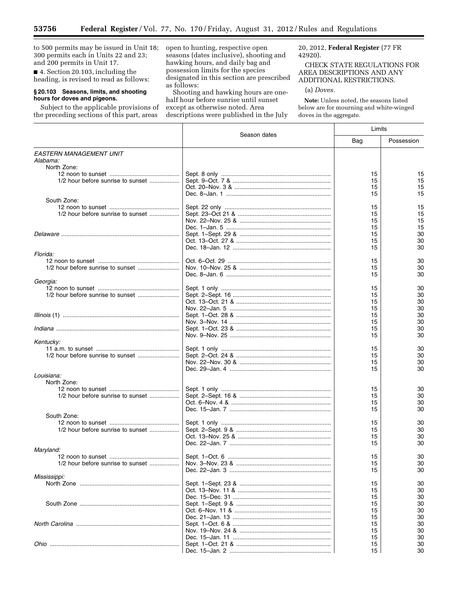to 500 permits may be issued in Unit 18; 300 permits each in Units 22 and 23; and 200 permits in Unit 17.

▀

■ 4. Section 20.103, including the heading, is revised to read as follows:

#### **§ 20.103 Seasons, limits, and shooting hours for doves and pigeons.**

Subject to the applicable provisions of the preceding sections of this part, areas

open to hunting, respective open seasons (dates inclusive), shooting and hawking hours, and daily bag and possession limits for the species designated in this section are prescribed as follows:

Shooting and hawking hours are onehalf hour before sunrise until sunset except as otherwise noted. Area descriptions were published in the July

# 20, 2012, **Federal Register** (77 FR 42920).

CHECK STATE REGULATIONS FOR AREA DESCRIPTIONS AND ANY ADDITIONAL RESTRICTIONS.

# (a) *Doves.*

**Note:** Unless noted, the seasons listed below are for mourning and white-winged doves in the aggregate.

|                                   |              |     | Limits     |  |
|-----------------------------------|--------------|-----|------------|--|
|                                   | Season dates | Bag | Possession |  |
| EASTERN MANAGEMENT UNIT           |              |     |            |  |
| Alabama:                          |              |     |            |  |
| North Zone:                       |              |     |            |  |
|                                   |              | 15  | 15         |  |
| 1/2 hour before sunrise to sunset |              | 15  | 15         |  |
|                                   |              | 15  | 15         |  |
|                                   |              | 15  | 15         |  |
| South Zone:                       |              |     |            |  |
|                                   |              | 15  | 15         |  |
| 1/2 hour before sunrise to sunset |              | 15  | 15         |  |
|                                   |              | 15  | 15         |  |
|                                   |              | 15  | 15         |  |
|                                   |              | 15  | 30         |  |
|                                   |              | 15  | 30         |  |
|                                   |              | 15  | 30         |  |
| Florida:                          |              |     |            |  |
|                                   |              | 15  | 30         |  |
|                                   |              | 15  | 30         |  |
|                                   |              | 15  | 30         |  |
| Georgia:                          |              |     |            |  |
|                                   |              | 15  | 30         |  |
|                                   |              | 15  | 30         |  |
|                                   |              | 15  | 30         |  |
|                                   |              | 15  | 30         |  |
|                                   |              | 15  | 30         |  |
|                                   |              | 15  | 30         |  |
|                                   |              | 15  | 30         |  |
|                                   |              | 15  | 30         |  |
| Kentucky:                         |              |     |            |  |
|                                   |              | 15  | 30         |  |
|                                   |              | 15  | 30         |  |
|                                   |              | 15  | 30         |  |
|                                   |              | 15  | 30         |  |
| Louisiana:                        |              |     |            |  |
| North Zone:                       |              |     |            |  |
|                                   |              | 15  | 30         |  |
| 1/2 hour before sunrise to sunset |              | 15  | 30         |  |
|                                   |              | 15  | 30         |  |
|                                   |              | 15  | 30         |  |
| South Zone:                       |              |     |            |  |
|                                   |              | 15  | 30         |  |
| 1/2 hour before sunrise to sunset |              | 15  | 30         |  |
|                                   |              | 15  | 30         |  |
|                                   |              | 15  | 30         |  |
| Maryland:                         |              |     |            |  |
|                                   |              | 15  | 30         |  |
| 1/2 hour before sunrise to sunset |              | 15  | 30         |  |
|                                   |              | 15  | 30         |  |
| Mississippi:                      |              |     |            |  |
|                                   |              | 15  | 30         |  |
|                                   |              | 15  | 30         |  |
|                                   |              | 15  | 30         |  |
|                                   |              | 15  | 30         |  |
|                                   |              | 15  | 30         |  |
|                                   |              | 15  | 30         |  |
|                                   |              | 15  | 30         |  |
|                                   |              | 15  | 30         |  |
|                                   |              | 15  | 30         |  |
|                                   |              | 15  | 30         |  |
|                                   |              | 15  | 30         |  |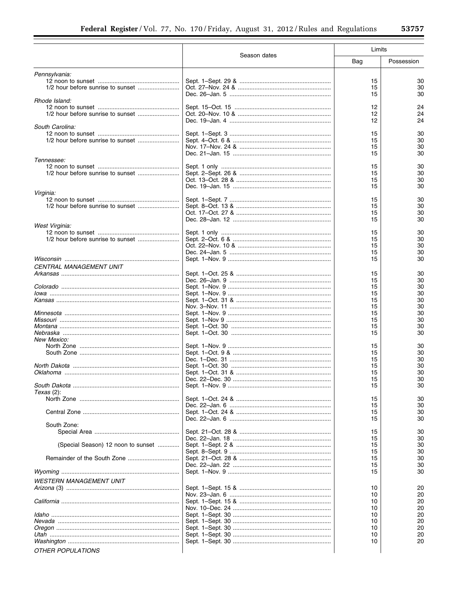|                                    |                 | Limits   |            |
|------------------------------------|-----------------|----------|------------|
|                                    | Season dates    | Bag      | Possession |
| Pennsylvania:                      |                 |          |            |
|                                    |                 | 15       | 30         |
|                                    |                 | 15       | 30         |
|                                    |                 | 15       | 30         |
| Rhode Island:                      |                 | 12       | 24         |
|                                    |                 | 12       | 24         |
|                                    |                 | 12       | 24         |
| South Carolina:                    |                 |          |            |
|                                    |                 | 15       | 30         |
|                                    |                 | 15       | 30         |
|                                    |                 | 15       | 30         |
|                                    |                 | 15       | 30         |
| Tennessee:                         |                 |          | 30         |
|                                    |                 | 15<br>15 | 30         |
|                                    |                 | 15       | 30         |
|                                    |                 | 15       | 30         |
| Virginia:                          |                 |          |            |
|                                    |                 | 15       | 30         |
|                                    |                 | 15       | 30         |
|                                    |                 | 15       | 30         |
|                                    |                 | 15       | 30         |
| West Virginia:                     |                 |          |            |
|                                    |                 | 15<br>15 | 30<br>30   |
|                                    |                 | 15       | 30         |
|                                    |                 | 15       | 30         |
|                                    |                 | 15       | 30         |
| <b>CENTRAL MANAGEMENT UNIT</b>     |                 |          |            |
|                                    |                 | 15       | 30         |
|                                    |                 | 15       | 30         |
|                                    |                 | 15       | 30         |
|                                    |                 | 15       | 30         |
|                                    |                 | 15       | 30         |
|                                    |                 | 15<br>15 | 30<br>30   |
|                                    |                 | 15       | 30         |
|                                    |                 | 15       | 30         |
|                                    |                 | 15       | 30         |
| New Mexico:                        |                 |          |            |
|                                    |                 | 15       | 30         |
|                                    |                 | 15       | 30         |
|                                    |                 | 15<br>15 | 30<br>30   |
|                                    |                 | 15       | 30         |
|                                    | Dec. 22-Dec. 30 | 15       | 30         |
|                                    |                 | 15       | 30         |
| <i>Texas</i> (2):                  |                 |          |            |
|                                    |                 | 15       | 30         |
|                                    |                 | 15       | 30         |
|                                    |                 | 15       | 30         |
| South Zone:                        |                 | 15       | 30         |
|                                    |                 | 15       | 30         |
|                                    |                 | 15       | 30         |
| (Special Season) 12 noon to sunset |                 | 15       | 30         |
|                                    |                 | 15       | 30         |
|                                    |                 | 15       | 30         |
|                                    |                 | 15       | 30         |
|                                    |                 | 15       | 30         |
| <b>WESTERN MANAGEMENT UNIT</b>     |                 |          |            |
|                                    |                 | 10       | 20         |
|                                    |                 | 10       | 20         |
|                                    |                 | 10       | 20         |
|                                    |                 | 10<br>10 | 20<br>20   |
|                                    |                 | 10       | 20         |
|                                    |                 | 10       | 20         |
|                                    |                 | 10       | 20         |
|                                    |                 | 10       | 20         |
| OTHER POPULATIONS                  |                 |          |            |
|                                    |                 |          |            |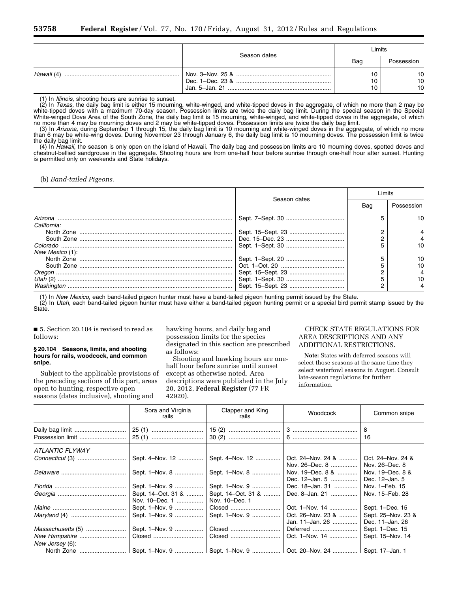| Season dates | Limits |                |  |
|--------------|--------|----------------|--|
|              | Bag    | Possession     |  |
|              |        | 10<br>10<br>10 |  |

(1) In *Illinois,* shooting hours are sunrise to sunset.

(2) In *Texas,* the daily bag limit is either 15 mourning, white-winged, and white-tipped doves in the aggregate, of which no more than 2 may be white-tipped doves with a maximum 70-day season. Possession limits are twice the daily bag limit. During the special season in the Special White-winged Dove Area of the South Zone, the daily bag limit is 15 mourning, white-winged, and white-tipped doves in the aggregate, of which no more than 4 may be mourning doves and 2 may be white-tipped doves. Possession limits are twice the daily bag limit.

(3) In *Arizona,* during September 1 through 15, the daily bag limit is 10 mourning and white-winged doves in the aggregate, of which no more than 6 may be white-wing doves. During November 23 through January 6, the daily bag limit is 10 mourning doves. The possession limit is twice the daily bag limit.

(4) In *Hawaii,* the season is only open on the island of Hawaii. The daily bag and possession limits are 10 mourning doves, spotted doves and chestnut-bellied sandgrouse in the aggregate. Shooting hours are from one-half hour before sunrise through one-half hour after sunset. Hunting is permitted only on weekends and State holidays.

(b) *Band-tailed Pigeons.* 

|                 |              | I imits |            |  |
|-----------------|--------------|---------|------------|--|
|                 | Season dates | Bag     | Possession |  |
| California:     |              |         | 10.        |  |
|                 |              |         |            |  |
|                 |              |         |            |  |
|                 |              |         |            |  |
| New Mexico (1): |              |         |            |  |
|                 |              |         | 10         |  |
|                 |              |         | 10         |  |
|                 |              |         |            |  |
|                 |              |         |            |  |
|                 |              |         |            |  |

(1) In *New Mexico,* each band-tailed pigeon hunter must have a band-tailed pigeon hunting permit issued by the State.

(2) In *Utah,* each band-tailed pigeon hunter must have either a band-tailed pigeon hunting permit or a special bird permit stamp issued by the State.

■ 5. Section 20.104 is revised to read as follows:

#### **§ 20.104 Seasons, limits, and shooting hours for rails, woodcock, and common snipe.**

Subject to the applicable provisions of the preceding sections of this part, areas open to hunting, respective open seasons (dates inclusive), shooting and

hawking hours, and daily bag and possession limits for the species designated in this section are prescribed as follows:

Shooting and hawking hours are onehalf hour before sunrise until sunset except as otherwise noted. Area descriptions were published in the July 20, 2012, **Federal Register** (77 FR 42920).

# CHECK STATE REGULATIONS FOR AREA DESCRIPTIONS AND ANY ADDITIONAL RESTRICTIONS.

**Note:** States with deferred seasons will select those seasons at the same time they select waterfowl seasons in August. Consult late-season regulations for further information.

|                                  | Sora and Virginia<br>rails           | Clapper and King<br>rails                                              | Woodcock                             | Common snipe                          |
|----------------------------------|--------------------------------------|------------------------------------------------------------------------|--------------------------------------|---------------------------------------|
| Daily bag limit                  |                                      |                                                                        |                                      | 8<br>16                               |
| ATLANTIC FLYWAY                  |                                      |                                                                        |                                      |                                       |
|                                  | Sept. 4–Nov. 12                      | Sept. 4-Nov. 12                                                        | Oct. 24–Nov. 24 &<br>Nov. 26–Dec. 8  | Oct. 24–Nov. 24 &<br>Nov. 26-Dec. 8   |
|                                  | Sept. 1-Nov. 8                       | Sept. 1–Nov. 8                                                         | Nov. 19–Dec. 8 &<br>Dec. 12-Jan. 5   | Nov. 19–Dec. 8 &<br>Dec. 12-Jan. 5    |
|                                  | Sept. 1-Nov. 9                       | Sept. 1-Nov. 9                                                         | Dec. 18-Jan. 31                      | Nov. 1-Feb. 15                        |
|                                  | Sept. 14–Oct. 31 &<br>Nov. 10–Dec. 1 | Sept. 14–Oct. 31 &<br>Nov. 10–Dec. 1                                   | Dec. 8-Jan. 21                       | Nov. 15–Feb. 28                       |
|                                  | Sept. 1-Nov. 9                       |                                                                        | Oct. 1-Nov. 14                       | Sept. 1-Dec. 15                       |
|                                  | Sept. 1-Nov. 9                       | Sept. 1–Nov. 9                                                         | Oct. 26-Nov. 23 &<br>Jan. 11–Jan. 26 | Sept. 25-Nov. 23 &<br>Dec. 11-Jan. 26 |
| Massachusetts (5)                | Sept. 1-Nov. 9                       |                                                                        | Deferred                             | Sept. 1-Dec. 15                       |
| New Hampshire<br>New Jersey (6): | Closed                               |                                                                        | Oct. 1-Nov. 14                       | Sept. 15-Nov. 14                      |
| North Zone                       |                                      | Sept. 1–Nov. 9    Sept. 1–Nov. 9    Oct. 20–Nov. 24    Sept. 17–Jan. 1 |                                      |                                       |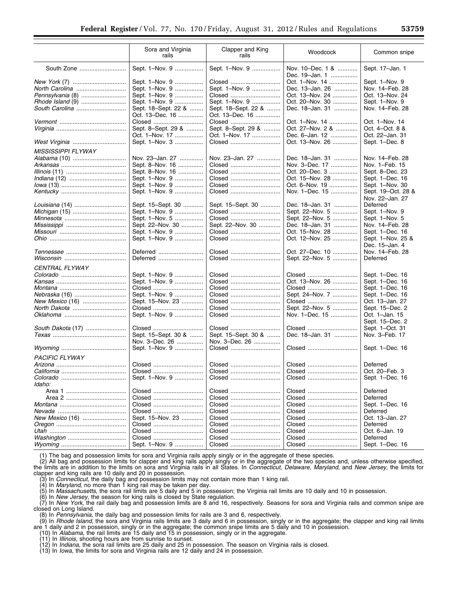|                       | Sora and Virginia<br>rails             | Clapper and King<br>rails              | Woodcock                           | Common snipe                          |
|-----------------------|----------------------------------------|----------------------------------------|------------------------------------|---------------------------------------|
| South Zone            | Sept. 1-Nov. 9                         | Sept. 1-Nov. 9                         | Nov. 10-Dec. 1 &<br>Dec. 19-Jan. 1 | Sept. 17-Jan. 1                       |
| New York (7)          | Sept. 1-Nov. 9                         | Closed                                 | Oct. 1-Nov. 14                     | Sept. 1-Nov. 9                        |
| North Carolina        | Sept. 1-Nov. 9                         | Sept. 1-Nov. 9                         | Dec. 13-Jan. 26                    | Nov. 14-Feb. 28                       |
| Pennsylvania (8)      |                                        | Closed                                 |                                    | Oct. 13-Nov. 24                       |
|                       | Sept. 1-Nov. 9                         |                                        | Oct. 13-Nov. 24                    |                                       |
|                       | Sept. 1-Nov. 9                         | Sept. 1-Nov. 9                         | Oct. 20-Nov. 30                    | Sept. 1-Nov. 9                        |
| South Carolina        | Sept. 18-Sept. 22 &<br>Oct. 13-Dec. 16 | Sept. 18–Sept. 22 &<br>Oct. 13-Dec. 16 | Dec. 18-Jan. 31                    | Nov. 14-Feb. 28                       |
|                       | Closed                                 | Closed                                 | Oct. 1-Nov. 14                     | Oct. 1-Nov. 14                        |
|                       | Sept. 8-Sept. 29 &                     | Sept. 8-Sept. 29 &                     | Oct. 27-Nov. 2 &                   | Oct. 4-Oct. 8 &                       |
|                       | Oct. 1-Nov. 17                         | Oct. 1-Nov. 17                         | Dec. 6-Jan. 12                     | Oct. 22-Jan. 31                       |
|                       | Sept. 1-Nov. 3                         | Closed                                 | Oct. 13-Nov. 26                    | Sept. 1-Dec. 8                        |
| MISSISSIPPI FLYWAY    |                                        |                                        |                                    |                                       |
| Alabama (10)          | Nov. 23-Jan. 27                        | Nov. 23-Jan. 27                        | Dec. 18-Jan. 31                    | Nov. 14-Feb. 28                       |
|                       | Sept. 8-Nov. 16                        | Closed                                 | Nov. 3–Dec. 17                     | Nov. 1-Feb. 15                        |
|                       | Sept. 8-Nov. 16                        | Closed                                 | Oct. 20–Dec. 3                     | Sept. 8-Dec. 23                       |
|                       | Sept. 1-Nov. 9                         | Closed                                 | Oct. 15-Nov. 28                    | Sept. 1-Dec. 16                       |
|                       | Sept. 1-Nov. 9                         | Closed                                 | Oct. 6–Nov. 19                     | Sept. 1-Nov. 30                       |
|                       |                                        |                                        | Nov. 1-Dec. 15                     |                                       |
|                       | Sept. 1-Nov. 9                         | Closed                                 |                                    | Sept. 19-Oct. 28 &<br>Nov. 22-Jan. 27 |
| Louisiana (14)        | Sept. 15-Sept. 30                      | Sept. 15–Sept. 30                      | Dec. 18-Jan. 31                    | Deferred                              |
| Michigan (15)         | Sept. 1-Nov. 9                         | Closed                                 | Sept. 22-Nov. 5                    | Sept. 1-Nov. 9                        |
|                       | Sept. 1-Nov. 5                         | Closed                                 | Sept. 22-Nov. 5                    | Sept. 1-Nov. 5                        |
|                       | Sept. 22-Nov. 30                       | Sept. 22-Nov. 30                       | Dec. 18-Jan. 31                    | Nov. 14-Feb. 28                       |
|                       | Sept. 1-Nov. 9                         | Closed                                 | Oct. 15-Nov. 28                    | Sept. 1-Dec. 16                       |
|                       | Sept. 1-Nov. 9                         | Closed                                 | Oct. 12-Nov. 25                    | Sept. 1-Nov. 25 &<br>Dec. 15-Jan. 4   |
|                       | Deferred                               | Closed                                 | Oct. 27-Dec. 10                    | Nov. 14-Feb. 28                       |
|                       | Deferred                               | Closed                                 | Sept. 22-Nov. 5                    | Deferred                              |
| <i>CENTRAL FLYWAY</i> |                                        |                                        |                                    |                                       |
|                       | Sept. 1-Nov. 9                         | Closed                                 | Closed                             | Sept. 1-Dec. 16                       |
|                       | Sept. 1-Nov. 9                         | Closed                                 | Oct. 13-Nov. 26                    | Sept. 1-Dec. 16                       |
|                       | Closed                                 | Closed                                 | Closed                             | Sept. 1-Dec. 16                       |
| Nebraska (16)         | Sept. 1-Nov. 9                         | Closed                                 | Sept. 24-Nov. 7                    | Sept. 1-Dec. 16                       |
| New Mexico (16)       | Sept. 15-Nov. 23                       |                                        | Closed                             | Oct. 13-Jan. 27                       |
|                       |                                        | Closed                                 |                                    |                                       |
| North Dakota          | Closed                                 | Closed                                 | Sept. 22-Nov. 5                    | Sept. 15-Dec. 2                       |
|                       | Sept. 1-Nov. 9                         | Closed                                 | Nov. 1-Dec. 15                     | Oct. 1-Jan. 15<br>Sept. 15-Dec. 2     |
|                       |                                        |                                        |                                    |                                       |
| South Dakota (17)     | Closed                                 | Closed                                 | Closed                             | Sept. 1-Oct. 31                       |
|                       | Sept. 15-Sept. 30 &                    | Sept. 15-Sept. 30 &                    | Dec. 18-Jan. 31                    | Nov. 3-Feb. 17                        |
|                       | Nov. 3-Dec. 26<br>Sept. 1-Nov. 9       | Nov. 3–Dec. 26<br>Closed               | Closed                             | Sept. 1-Dec. 16                       |
| <b>PACIFIC FLYWAY</b> |                                        |                                        |                                    |                                       |
|                       | Closed                                 | Closed                                 | Closed                             | Deferred                              |
|                       | Closed                                 | Closed                                 | Closed                             | Oct. 20–Feb. 3                        |
|                       | Sept. 1-Nov. 9                         | Closed                                 | Closed                             | Sept. 1–Dec. 16                       |
| Idaho:                |                                        |                                        |                                    |                                       |
|                       | Closed                                 | Closed                                 | Closed                             | Deferred                              |
|                       | Closed                                 | Closed                                 | Closed                             | Deferred                              |
|                       | Closed                                 | Closed                                 | Closed                             | Sept. 1-Dec. 16                       |
|                       | Closed                                 | Closed                                 | Closed                             | Deferred                              |
| New Mexico (16)       | Sept. 15–Nov. 23                       | Closed                                 | Closed                             | Oct. 13-Jan. 27                       |
|                       | Closed                                 | Closed                                 | Closed                             | Deferred                              |
|                       | Closed                                 | Closed                                 | Closed                             | Oct. 6-Jan. 19                        |
|                       | Closed                                 | Closed                                 | Closed                             | Deferred                              |
|                       | Sept. 1-Nov. 9                         | Closed                                 | Closed                             | Sept. 1-Dec. 16                       |
|                       |                                        |                                        |                                    |                                       |

(1) The bag and possession limits for sora and Virginia rails apply singly or in the aggregate of these species.<br>(2) All bag and possession limits for clapper and king rails apply singly or in the aggregate of the two spec the limits are in addition to the limits on sora and Virginia rails in all States. In *Connecticut, Delaware, Maryland,* and *New Jersey,* the limits for

clapper and king rails are 10 daily and 20 in possession.<br>(3) In *Connecticut*, the daily bag and possession limits may not contain more than 1 king rail.<br>(4) In *Maryland,* no more than 1 king rail may be taken per day.<br>(

(6) In *New Jersey,* the season for king rails is closed by State regulation.

(7) In *New York,* the rail daily bag and possession limits are 8 and 16, respectively. Seasons for sora and Virginia rails and common snipe are closed on Long Island.

(8) In *Pennsylvania,* the daily bag and possession limits for rails are 3 and 6, respectively.

(9) In *Rhode Island,* the sora and Virginia rails limits are 3 daily and 6 in possession, singly or in the aggregate; the clapper and king rail limits are 1 daily and 2 in possession, singly or in the aggregate; the common snipe limits are 5 daily and 10 in possession.

(10) In *Alabama,* the rail limits are 15 daily and 15 in possession, singly or in the aggregate.

(11) In *Illinois,* shooting hours are from sunrise to sunset.

(12) In *Indiana,* the sora rail limits are 25 daily and 25 in possession. The season on Virginia rails is closed.

(13) In *Iowa,* the limits for sora and Virginia rails are 12 daily and 24 in possession.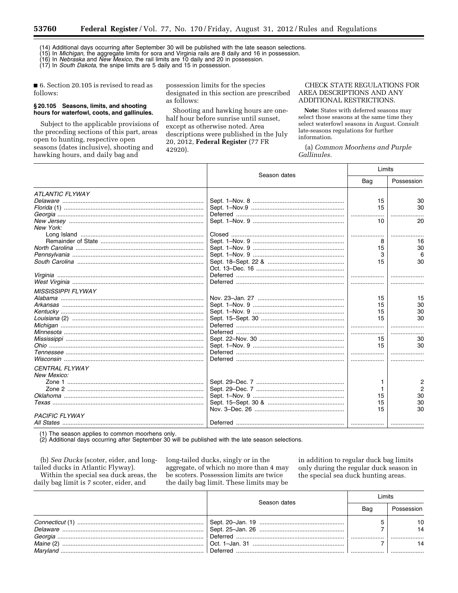(14) Additional days occurring after September 30 will be published with the late season selections.

(15) In *Michigan,* the aggregate limits for sora and Virginia rails are 8 daily and 16 in possession.

(16) In *Nebraska* and *New Mexico,* the rail limits are 10 daily and 20 in possession. (17) In *South Dakota,* the snipe limits are 5 daily and 15 in possession.

■ 6. Section 20.105 is revised to read as follows:

# **§ 20.105 Seasons, limits, and shooting hours for waterfowl, coots, and gallinules.**

Subject to the applicable provisions of the preceding sections of this part, areas open to hunting, respective open seasons (dates inclusive), shooting and hawking hours, and daily bag and

possession limits for the species designated in this section are prescribed as follows:

Shooting and hawking hours are onehalf hour before sunrise until sunset, except as otherwise noted. Area descriptions were published in the July 20, 2012, **Federal Register** (77 FR 42920).

CHECK STATE REGULATIONS FOR AREA DESCRIPTIONS AND ANY ADDITIONAL RESTRICTIONS.

**Note:** States with deferred seasons may select those seasons at the same time they select waterfowl seasons in August. Consult late-seasons regulations for further information.

(a) *Common Moorhens and Purple Gallinules.* 

|                           | Season dates | Limits |                |
|---------------------------|--------------|--------|----------------|
|                           |              | Bag    | Possession     |
| <b>ATLANTIC FLYWAY</b>    |              |        |                |
|                           |              | 15     | 30             |
|                           |              | 15     | 30             |
|                           |              |        |                |
|                           |              | 10     | 20             |
| New York:                 |              |        |                |
|                           |              |        |                |
|                           |              | 8      | 16             |
|                           |              | 15     | 30             |
|                           |              | 3      | 6              |
|                           |              | 15     | 30             |
|                           |              |        |                |
|                           |              |        |                |
|                           |              |        |                |
| <b>MISSISSIPPI FLYWAY</b> |              |        |                |
|                           |              | 15     | 15             |
|                           |              | 15     | 30             |
|                           |              | 15     | 30             |
|                           |              | 15     | 30             |
|                           |              |        |                |
|                           |              |        |                |
|                           |              | 15     | 30             |
|                           |              | 15     | 30             |
|                           |              |        |                |
|                           |              |        |                |
| <b>CENTRAL FLYWAY</b>     |              |        |                |
| New Mexico:               |              |        |                |
|                           |              | 1      | $\overline{2}$ |
|                           |              | 1      | $\overline{2}$ |
|                           |              | 15     | 30             |
|                           |              | 15     | 30             |
|                           |              | 15     | 30             |
| <b>PACIFIC FLYWAY</b>     |              |        |                |
|                           |              |        |                |
|                           |              |        |                |

(1) The season applies to common moorhens only.

(2) Additional days occurring after September 30 will be published with the late season selections.

(b) *Sea Ducks* (scoter, eider, and longtailed ducks in Atlantic Flyway). Within the special sea duck areas, the

daily bag limit is 7 scoter, eider, and

long-tailed ducks, singly or in the aggregate, of which no more than 4 may be scoters. Possession limits are twice the daily bag limit. These limits may be

in addition to regular duck bag limits only during the regular duck season in the special sea duck hunting areas.

|          | Season dates | imits |            |
|----------|--------------|-------|------------|
|          |              | Bag   | Possession |
|          |              |       |            |
|          |              |       | 14         |
|          |              |       |            |
|          |              |       |            |
| Marvland | Deferred     |       |            |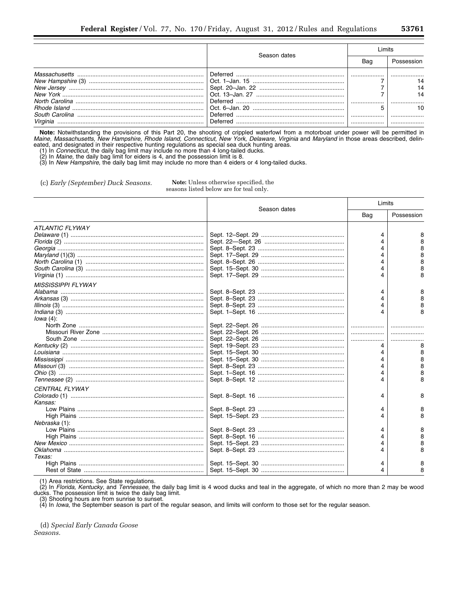|          | Season dates         |     |  |
|----------|----------------------|-----|--|
|          |                      | Bag |  |
|          | Deferred<br>Deferred |     |  |
| Virginia | Deferred<br>Deferred |     |  |

Note: Notwithstanding the provisions of this Part 20, the shooting of crippled waterfowl from a motorboat under power will be permitted in Maine, Massachusetts, New Hampshire, Rhode Island, Connecticut, New York, Delaware,

(c) Early (September) Duck Seasons.

Note: Unless otherwise specified, the seasons listed below are for teal only.

|                           |              | Limits |            |
|---------------------------|--------------|--------|------------|
|                           | Season dates | Bag    | Possession |
| <b>ATLANTIC FLYWAY</b>    |              |        |            |
|                           |              |        |            |
|                           |              |        |            |
|                           |              |        |            |
|                           |              |        |            |
|                           |              |        |            |
|                           |              |        |            |
|                           |              |        |            |
| <b>MISSISSIPPI FLYWAY</b> |              |        |            |
|                           |              | 4      |            |
|                           |              |        |            |
|                           |              |        |            |
|                           |              |        |            |
| lowa $(4)$ :              |              |        |            |
|                           |              | .      |            |
|                           |              | .      |            |
|                           |              |        |            |
|                           |              |        |            |
|                           |              | 4      |            |
|                           |              |        |            |
|                           |              |        |            |
|                           |              |        |            |
|                           |              |        |            |
| <b>CENTRAL FLYWAY</b>     |              |        |            |
|                           |              |        |            |
| Kansas:                   |              |        |            |
|                           |              |        |            |
|                           |              |        | 8          |
| Nebraska (1):             |              |        |            |
|                           |              |        |            |
|                           |              |        |            |
|                           |              |        |            |
|                           |              |        |            |
| Texas:                    |              |        |            |
|                           |              |        |            |
|                           |              |        |            |

(1) Area restrictions. See State regulations.<br>(2) In Florida, Kentucky, and Tennessee, the daily bag limit is 4 wood ducks and teal in the aggregate, of which no more than 2 may be wood ducks. The possession limit is twice the daily bag limit.

(3) Shooting hours are from sunrise to sunset.<br>(3) Shooting hours are from sunrise to sunset.<br>(4) In *Iowa*, the September season is part of the regular season, and limits will conform to those set for the regular season.

(d) Special Early Canada Goose Seasons.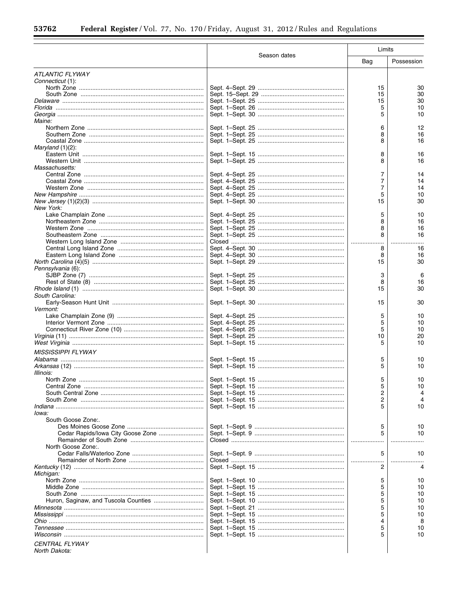$\equiv$ 

۰

|                                        |              | Limits   |            |  |  |
|----------------------------------------|--------------|----------|------------|--|--|
|                                        | Season dates | Bag      | Possession |  |  |
| <b>ATLANTIC FLYWAY</b>                 |              |          |            |  |  |
| Connecticut (1):                       |              |          |            |  |  |
|                                        |              | 15<br>15 | 30<br>30   |  |  |
|                                        |              | 15       | 30         |  |  |
|                                        |              | 5        | 10         |  |  |
|                                        |              | 5        | 10         |  |  |
| Maine:                                 |              |          |            |  |  |
|                                        |              | 6        | 12         |  |  |
|                                        |              | 8        | 16         |  |  |
|                                        |              | 8        | 16         |  |  |
| Maryland $(1)(2)$ :                    |              |          | 16         |  |  |
|                                        |              | 8<br>8   | 16         |  |  |
| Massachusetts:                         |              |          |            |  |  |
|                                        |              | 7        | 14         |  |  |
|                                        |              | 7        | 14         |  |  |
|                                        |              | 7        | 14         |  |  |
|                                        |              | 5        | 10         |  |  |
|                                        |              | 15       | 30         |  |  |
| New York:                              |              |          |            |  |  |
|                                        |              | 5        | 10         |  |  |
|                                        |              | 8        | 16         |  |  |
|                                        |              | 8<br>8   | 16<br>16   |  |  |
|                                        |              |          |            |  |  |
|                                        |              | 8        | 16         |  |  |
|                                        |              | 8        | 16         |  |  |
|                                        |              | 15       | 30         |  |  |
| Pennsylvania (6):                      |              |          |            |  |  |
|                                        |              | 3        | 6          |  |  |
|                                        |              | 8        | 16         |  |  |
|                                        |              | 15       | 30         |  |  |
| South Carolina:                        |              |          |            |  |  |
|                                        |              | 15       | 30         |  |  |
| <i><b>Vermont:</b></i>                 |              |          |            |  |  |
|                                        |              | 5<br>5   | 10<br>10   |  |  |
|                                        |              | 5        | 10         |  |  |
|                                        |              | 10       | 20         |  |  |
|                                        |              | 5        | 10         |  |  |
| <b>MISSISSIPPI FLYWAY</b>              |              |          |            |  |  |
|                                        |              | 5        | 10         |  |  |
|                                        |              | 5        | 10         |  |  |
| Illinois:                              |              |          |            |  |  |
|                                        |              | 5        | 10         |  |  |
|                                        |              | 5        | 10         |  |  |
|                                        |              | 2        | 4          |  |  |
|                                        |              | 2        |            |  |  |
| Indiana ……………………………………………………………………………… |              | 5        | 10         |  |  |
| lowa:<br>South Goose Zone:.            |              |          |            |  |  |
|                                        |              | 5        | 10         |  |  |
|                                        |              | 5        | 10         |  |  |
|                                        |              |          |            |  |  |
| North Goose Zone:.                     |              |          |            |  |  |
|                                        |              | 5        | 10         |  |  |
|                                        |              |          |            |  |  |
|                                        |              | 2        | 4          |  |  |
| Michigan:                              |              |          |            |  |  |
|                                        |              | 5<br>5   | 10<br>10   |  |  |
|                                        |              | 5        | 10         |  |  |
|                                        |              | 5        | 10         |  |  |
|                                        |              | 5        | 10         |  |  |
|                                        |              | 5        | 10         |  |  |
|                                        |              | 4        | 8          |  |  |
|                                        |              | 5        | 10         |  |  |
|                                        |              | 5        | 10         |  |  |
| <b>CENTRAL FLYWAY</b>                  |              |          |            |  |  |
| North Dakota:                          |              |          |            |  |  |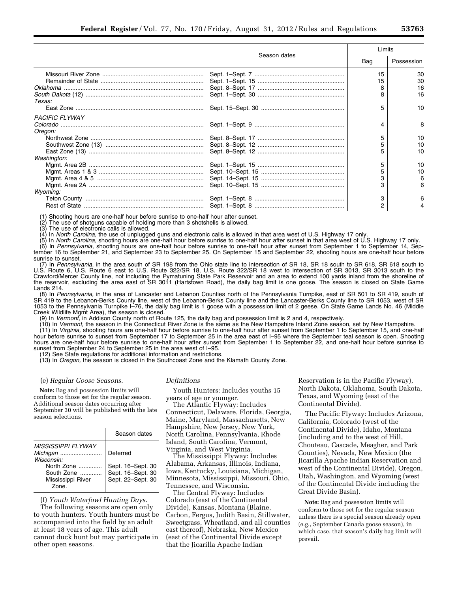| н<br>٠.<br>í<br>I<br>۲ |  |
|------------------------|--|
|------------------------|--|

|                       |              | Limits |            |
|-----------------------|--------------|--------|------------|
|                       | Season dates | Bag    | Possession |
|                       |              | 15     | 30         |
|                       |              | 15     | 30         |
|                       |              | 8      | 16         |
|                       |              |        | 16         |
| <i>Texas:</i>         |              |        |            |
|                       |              | 5      | 10         |
| <b>PACIFIC FLYWAY</b> |              |        |            |
|                       |              | 4      | 8          |
| Oregon:               |              |        |            |
|                       |              | 5      | 10         |
|                       |              | 5      | 10         |
|                       |              |        | 10         |
| Washington:           |              |        |            |
|                       |              | 5      | 10         |
|                       |              | 5      | 10         |
|                       |              |        |            |
|                       |              |        |            |
| Wyoming:              |              |        |            |
|                       |              | 3      |            |
|                       |              | 2      |            |

(1) Shooting hours are one-half hour before sunrise to one-half hour after sunset.

(2) The use of shotguns capable of holding more than 3 shotshells is allowed.<br>(3) The use of electronic calls is allowed.

The use of electronic calls is allowed.

(4) In *North Carolina,* the use of unplugged guns and electronic calls is allowed in that area west of U.S. Highway 17 only.

(5) In *North Carolina,* shooting hours are one-half hour before sunrise to one-half hour after sunset in that area west of U.S. Highway 17 only. (6) In *Pennsylvania,* shooting hours are one-half hour before sunrise to one-half hour after sunset from September 1 to September 14, Sep-

tember 16 to September 21, and September 23 to September 25. On September 15 and September 22, shooting hours are one-half hour before sunrise to sunset. (7) In *Pennsylvania,* in the area south of SR 198 from the Ohio state line to intersection of SR 18, SR 18 south to SR 618, SR 618 south to

U.S. Route 6, U.S. Route 6 east to U.S. Route 322/SR 18, U.S. Route 322/SR 18 west to intersection of SR 3013, SR 3013 south to the Crawford/Mercer County line, not including the Pymatuning State Park Reservoir and an area to extend 100 yards inland from the shoreline of the reservoir, excluding the area east of SR 3011 (Hartstown Road), the daily bag limit is one goose. The season is closed on State Game Lands 214.

(8) In *Pennsylvania,* in the area of Lancaster and Lebanon Counties north of the Pennsylvania Turnpike, east of SR 501 to SR 419, south of SR 419 to the Lebanon-Berks County line, west of the Lebanon-Berks County line and the Lancaster-Berks County line to SR 1053, west of SR 1053 to the Pennsylvania Turnpike I–76, the daily bag limit is 1 goose with a possession limit of 2 geese. On State Game Lands No. 46 (Middle Creek Wildlife Mgmt Area), the season is closed.

(9) In *Vermont,* in Addison County north of Route 125, the daily bag and possession limit is 2 and 4, respectively.

(10) In *Vermont,* the season in the Connecticut River Zone is the same as the New Hampshire Inland Zone season, set by New Hampshire. (11) In *Virginia,* shooting hours are one-half hour before sunrise to one-half hour after sunset from September 1 to September 15, and one-half hour before sunrise to sunset from September 17 to September 25 in the area east of I–95 where the September teal season is open. Shooting hours are one-half hour before sunrise to one-half hour after sunset from September 1 to September 22, and one-half hour before sunrise to sunset from September 24 to September 25 in the area west of I–95.

12) See State regulations for additional information and restrictions.

(13) In *Oregon,* the season is closed in the Southcoast Zone and the Klamath County Zone.

#### (e) *Regular Goose Seasons.*

**Note:** Bag and possession limits will conform to those set for the regular season. Additional season dates occurring after September 30 will be published with the late season selections.

|                                                                                                                      | Season dates                                                            |
|----------------------------------------------------------------------------------------------------------------------|-------------------------------------------------------------------------|
| <b>MISSISSIPPI FI YWAY</b><br>Michigan<br>Wisconsin:<br>North Zone<br>South Zone<br>Mississippi River<br><b>Zone</b> | Deferred<br>Sept. 16-Sept. 30<br>Sept. 16-Sept. 30<br>Sept. 22-Sept. 30 |

(f) *Youth Waterfowl Hunting Days.* 

The following seasons are open only to youth hunters. Youth hunters must be accompanied into the field by an adult at least 18 years of age. This adult cannot duck hunt but may participate in other open seasons.

#### *Definitions*

Youth Hunters: Includes youths 15 years of age or younger.

The Atlantic Flyway: Includes Connecticut, Delaware, Florida, Georgia, Maine, Maryland, Massachusetts, New Hampshire, New Jersey, New York, North Carolina, Pennsylvania, Rhode Island, South Carolina, Vermont, Virginia, and West Virginia.

The Mississippi Flyway: Includes Alabama, Arkansas, Illinois, Indiana, Iowa, Kentucky, Louisiana, Michigan, Minnesota, Mississippi, Missouri, Ohio, Tennessee, and Wisconsin.

The Central Flyway: Includes Colorado (east of the Continental Divide), Kansas, Montana (Blaine, Carbon, Fergus, Judith Basin, Stillwater, Sweetgrass, Wheatland, and all counties east thereof), Nebraska, New Mexico (east of the Continental Divide except that the Jicarilla Apache Indian

Reservation is in the Pacific Flyway), North Dakota, Oklahoma, South Dakota, Texas, and Wyoming (east of the Continental Divide).

The Pacific Flyway: Includes Arizona, California, Colorado (west of the Continental Divide), Idaho, Montana (including and to the west of Hill, Chouteau, Cascade, Meagher, and Park Counties), Nevada, New Mexico (the Jicarilla Apache Indian Reservation and west of the Continental Divide), Oregon, Utah, Washington, and Wyoming (west of the Continental Divide including the Great Divide Basin).

**Note:** Bag and possession limits will conform to those set for the regular season unless there is a special season already open (e.g., September Canada goose season), in which case, that season's daily bag limit will prevail.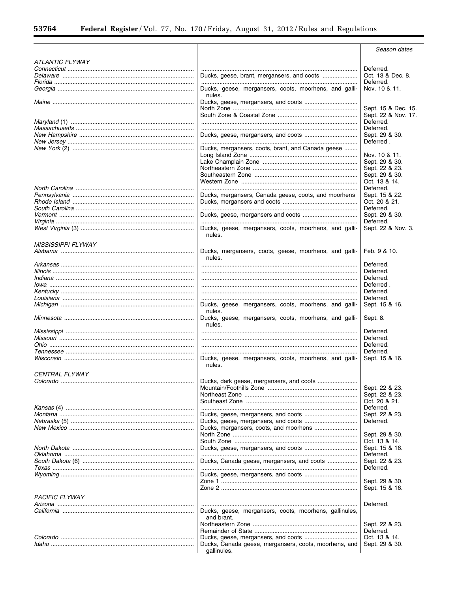$\equiv$ 

Ξ

|                                           |                                                        | Season dates        |
|-------------------------------------------|--------------------------------------------------------|---------------------|
|                                           |                                                        |                     |
| ATLANTIC FLYWAY                           |                                                        |                     |
|                                           |                                                        | Deferred.           |
|                                           |                                                        | Oct. 13 & Dec. 8.   |
|                                           |                                                        | Deferred.           |
|                                           | Ducks, geese, mergansers, coots, moorhens, and galli-  | Nov. 10 & 11.       |
|                                           | nules.                                                 |                     |
|                                           |                                                        |                     |
|                                           |                                                        | Sept. 15 & Dec. 15. |
|                                           |                                                        | Sept. 22 & Nov. 17. |
|                                           |                                                        | Deferred.           |
|                                           |                                                        | Deferred.           |
|                                           |                                                        | Sept. 29 & 30.      |
|                                           |                                                        | Deferred.           |
|                                           | Ducks, mergansers, coots, brant, and Canada geese      |                     |
|                                           |                                                        | Nov. 10 & 11.       |
|                                           |                                                        | Sept. 29 & 30.      |
|                                           |                                                        | Sept. 22 & 23.      |
|                                           |                                                        | Sept. 29 & 30.      |
|                                           |                                                        | Oct. 13 & 14.       |
|                                           |                                                        | Deferred.           |
|                                           | Ducks, mergansers, Canada geese, coots, and moorhens   | Sept. 15 & 22.      |
|                                           |                                                        | Oct. 20 & 21.       |
|                                           |                                                        |                     |
|                                           |                                                        | Deferred.           |
|                                           |                                                        | Sept. 29 & 30.      |
|                                           |                                                        | Deferred.           |
|                                           | Ducks, geese, mergansers, coots, moorhens, and galli-  | Sept. 22 & Nov. 3.  |
|                                           | nules.                                                 |                     |
| <b>MISSISSIPPI FLYWAY</b>                 |                                                        |                     |
|                                           | Ducks, mergansers, coots, geese, moorhens, and galli-  | Feb. 9 & 10.        |
|                                           | nules.                                                 |                     |
|                                           |                                                        | Deferred.           |
|                                           |                                                        |                     |
|                                           |                                                        | Deferred.           |
|                                           |                                                        | Deferred.           |
|                                           |                                                        | Deferred.           |
|                                           |                                                        | Deferred.           |
|                                           |                                                        | Deferred.           |
|                                           | Ducks, geese, mergansers, coots, moorhens, and galli-  | Sept. 15 & 16.      |
|                                           | nules.                                                 |                     |
|                                           | Ducks, geese, mergansers, coots, moorhens, and galli-  | Sept. 8.            |
|                                           | nules.                                                 |                     |
|                                           |                                                        | Deferred.           |
|                                           |                                                        | Deferred.           |
| <i>Ohio</i> …………………………………………………………………………… |                                                        | Deferred.           |
|                                           |                                                        | Deferred.           |
|                                           | Ducks, geese, mergansers, coots, moorhens, and galli-  | Sept. 15 & 16.      |
|                                           | nules.                                                 |                     |
|                                           |                                                        |                     |
| <i>CENTRAL FLYWAY</i>                     |                                                        |                     |
|                                           |                                                        |                     |
|                                           |                                                        | Sept. 22 & 23.      |
|                                           |                                                        | Sept. 22 & 23.      |
|                                           |                                                        | Oct. 20 & 21.       |
|                                           |                                                        | Deferred.           |
|                                           |                                                        | Sept. 22 & 23.      |
|                                           |                                                        | Deferred.           |
|                                           |                                                        |                     |
|                                           |                                                        | Sept. 29 & 30.      |
|                                           |                                                        | Oct. 13 & 14.       |
|                                           |                                                        | Sept. 15 & 16.      |
|                                           |                                                        | Deferred.           |
|                                           | Ducks, Canada geese, mergansers, and coots             | Sept. 22 & 23.      |
|                                           |                                                        | Deferred.           |
|                                           |                                                        |                     |
|                                           |                                                        | Sept. 29 & 30.      |
|                                           |                                                        | Sept. 15 & 16.      |
|                                           |                                                        |                     |
| <b>PACIFIC FLYWAY</b>                     |                                                        |                     |
|                                           |                                                        | Deferred.           |
|                                           | Ducks, geese, mergansers, coots, moorhens, gallinules, |                     |
|                                           | and brant.                                             |                     |
|                                           |                                                        | Sept. 22 & 23.      |
|                                           |                                                        | Deferred.           |
|                                           |                                                        | Oct. 13 & 14.       |
|                                           | Ducks, Canada geese, mergansers, coots, moorhens, and  | Sept. 29 & 30.      |
|                                           | gallinules.                                            |                     |
|                                           |                                                        |                     |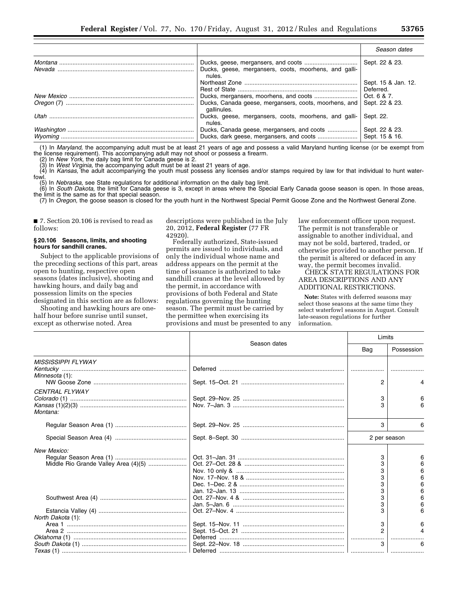|                                                                      | Season dates                     |
|----------------------------------------------------------------------|----------------------------------|
| Ducks, geese, mergansers, coots, moorhens, and galli-<br>nules.      | Sept. 22 & 23.                   |
|                                                                      | Sept. 15 & Jan. 12.<br>Deferred. |
|                                                                      | Oct. 6 & 7.                      |
| Ducks, Canada geese, mergansers, coots, moorhens, and<br>gallinules. | Sept. 22 & 23.                   |
| Ducks, geese, mergansers, coots, moorhens, and galli-<br>nules.      | Sept. 22.                        |
|                                                                      | Sept. 22 & 23.                   |
|                                                                      | Sept. 15 & 16.                   |

(1) In *Maryland,* the accompanying adult must be at least 21 years of age and possess a valid Maryland hunting license (or be exempt from the license requirement). This accompanying adult may not shoot or possess a firearm.

(2) In *New York,* the daily bag limit for Canada geese is 2.

(3) In *West Virginia,* the accompanying adult must be at least 21 years of age.

(4) In *Kansas,* the adult accompanying the youth must possess any licenses and/or stamps required by law for that individual to hunt waterfowl.

(5) In *Nebraska,* see State regulations for additional information on the daily bag limit.

(6) In *South Dakota,* the limit for Canada geese is 3, except in areas where the Special Early Canada goose season is open. In those areas, the limit is the same as for that special season.

(7) In *Oregon,* the goose season is closed for the youth hunt in the Northwest Special Permit Goose Zone and the Northwest General Zone.

■ 7. Section 20.106 is revised to read as follows:

#### **§ 20.106 Seasons, limits, and shooting hours for sandhill cranes.**

Subject to the applicable provisions of the preceding sections of this part, areas open to hunting, respective open seasons (dates inclusive), shooting and hawking hours, and daily bag and possession limits on the species designated in this section are as follows:

Shooting and hawking hours are onehalf hour before sunrise until sunset, except as otherwise noted. Area

descriptions were published in the July 20, 2012, **Federal Register** (77 FR 42920).

Federally authorized, State-issued permits are issued to individuals, and only the individual whose name and address appears on the permit at the time of issuance is authorized to take sandhill cranes at the level allowed by the permit, in accordance with provisions of both Federal and State regulations governing the hunting season. The permit must be carried by the permittee when exercising its provisions and must be presented to any law enforcement officer upon request. The permit is not transferable or assignable to another individual, and may not be sold, bartered, traded, or otherwise provided to another person. If the permit is altered or defaced in any way, the permit becomes invalid.

CHECK STATE REGULATIONS FOR AREA DESCRIPTIONS AND ANY ADDITIONAL RESTRICTIONS.

**Note:** States with deferred seasons may select those seasons at the same time they select waterfowl seasons in August. Consult late-season regulations for further information.

|                                      | Season dates | Limits       |            |
|--------------------------------------|--------------|--------------|------------|
|                                      |              | Bag          | Possession |
| <b>MISSISSIPPI FLYWAY</b>            |              |              |            |
| Minnesota (1):                       |              |              |            |
|                                      |              | 2            |            |
| <b>CENTRAL FLYWAY</b>                |              |              |            |
|                                      |              | 3            | 6          |
| Montana:                             |              | 3            |            |
|                                      |              |              |            |
|                                      |              | 3            | 6          |
|                                      |              | 2 per season |            |
| New Mexico:                          |              |              |            |
|                                      |              | 3            | 6          |
| Middle Rio Grande Valley Area (4)(5) |              | 3            |            |
|                                      |              |              |            |
|                                      |              |              |            |
|                                      |              | з            |            |
|                                      |              | 3            |            |
|                                      |              | 3            |            |
|                                      |              |              |            |
|                                      |              |              |            |
| North Dakota (1):                    |              |              |            |
|                                      |              | 3            |            |
|                                      |              | 2            |            |
|                                      |              |              |            |
|                                      |              |              | 6          |
|                                      |              |              |            |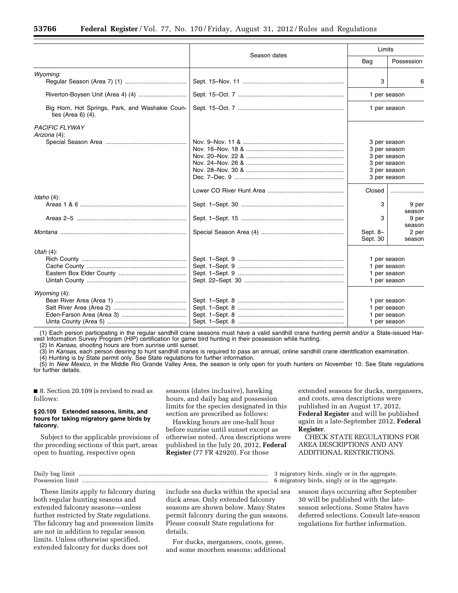|                                                                          |              | Limits                                                       |                                              |
|--------------------------------------------------------------------------|--------------|--------------------------------------------------------------|----------------------------------------------|
|                                                                          | Season dates | Bag                                                          | Possession                                   |
| Wyoming:                                                                 |              | 3                                                            | 6                                            |
|                                                                          |              | 1 per season                                                 |                                              |
| Big Horn, Hot Springs, Park, and Washakie Coun-<br>ties (Area $6$ ) (4). |              | 1 per season                                                 |                                              |
| <b>PACIFIC FLYWAY</b><br>Arizona (4):                                    |              | 3 per season<br>3 per season<br>3 per season                 | 3 per season<br>3 per season<br>3 per season |
| Idaho $(4)$ :                                                            |              | Closed<br>3                                                  | 9 per                                        |
|                                                                          |              | з                                                            | season<br>9 per<br>season                    |
|                                                                          |              | Sept. 8-<br>Sept. 30                                         | 2 per<br>season                              |
| Utah $(4)$ :                                                             |              | 1 per season<br>1 per season<br>1 per season<br>1 per season |                                              |
| Wyoming $(4)$ :                                                          |              | 1 per season                                                 | 1 per season<br>1 per season<br>1 per season |

(1) Each person participating in the regular sandhill crane seasons must have a valid sandhill crane hunting permit and/or a State-issued Harvest Information Survey Program (HIP) certification for game bird hunting in their possession while hunting.

(2) In *Kansas,* shooting hours are from sunrise until sunset.

(3) In *Kansas,* each person desiring to hunt sandhill cranes is required to pass an annual, online sandhill crane identification examination.

(4) Hunting is by State permit only. See State regulations for further information.

(5) In *New Mexico,* in the Middle Rio Grande Valley Area, the season is only open for youth hunters on November 10. See State regulations for further details.

■ 8. Section 20.109 is revised to read as follows:

# **§ 20.109 Extended seasons, limits, and hours for taking migratory game birds by falconry.**

Subject to the applicable provisions of the preceding sections of this part, areas open to hunting, respective open

seasons (dates inclusive), hawking hours, and daily bag and possession limits for the species designated in this section are prescribed as follows:

Hawking hours are one-half hour before sunrise until sunset except as otherwise noted. Area descriptions were published in the July 20, 2012, **Federal Register** (77 FR 42920). For those

extended seasons for ducks, mergansers, and coots, area descriptions were published in an August 17, 2012, **Federal Register** and will be published again in a late-September 2012, **Federal Register**.

CHECK STATE REGULATIONS FOR AREA DESCRIPTIONS AND ANY ADDITIONAL RESTRICTIONS.

Daily bag limit .................................................................................................................. 3 migratory birds, singly or in the aggregate. Possession limit ................................................................................................................ 6 migratory birds, singly or in the aggregate.

These limits apply to falconry during both regular hunting seasons and extended falconry seasons—unless further restricted by State regulations. The falconry bag and possession limits are not in addition to regular season limits. Unless otherwise specified, extended falconry for ducks does not

include sea ducks within the special sea duck areas. Only extended falconry seasons are shown below. Many States permit falconry during the gun seasons. Please consult State regulations for details.

For ducks, mergansers, coots, geese, and some moorhen seasons; additional

season days occurring after September 30 will be published with the lateseason selections. Some States have deferred selections. Consult late-season regulations for further information.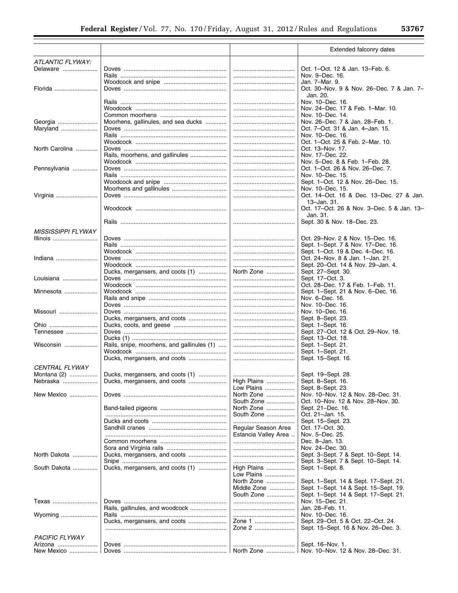|                           |                                            |                           | Extended falconry dates                                               |
|---------------------------|--------------------------------------------|---------------------------|-----------------------------------------------------------------------|
| ATLANTIC FLYWAY:          |                                            |                           |                                                                       |
| Delaware                  |                                            |                           | Oct. 1–Oct. 12 & Jan. 13–Feb. 6.<br>Nov. 9–Dec. 16.                   |
|                           |                                            |                           | Jan. 7-Mar. 9.                                                        |
| Florida                   |                                            |                           | Oct. 30-Nov. 9 & Nov. 26-Dec. 7 & Jan. 7-<br>Jan. 20.                 |
|                           |                                            |                           | Nov. 10-Dec. 16.                                                      |
|                           |                                            |                           | Nov. 24–Dec. 17 & Feb. 1–Mar. 10.                                     |
|                           |                                            |                           | Nov. 10–Dec. 14.                                                      |
| Georgia                   | Moorhens, gallinules, and sea ducks        |                           | Nov. 26-Dec. 7 & Jan. 28-Feb. 1.                                      |
| Maryland                  |                                            |                           | Oct. 7–Oct. 31 & Jan. 4–Jan. 15.                                      |
|                           |                                            |                           | Nov. 10–Dec. 16.                                                      |
|                           |                                            |                           | Oct. 1-Oct. 25 & Feb. 2-Mar. 10.                                      |
| North Carolina            |                                            |                           | Oct. 13-Nov. 17.                                                      |
|                           |                                            |                           | Nov. 17-Dec. 22.                                                      |
|                           |                                            |                           | Nov. 5-Dec. 8 & Feb. 1-Feb. 28.                                       |
| Pennsylvania              |                                            |                           | Oct. 1-Oct. 26 & Nov. 26-Dec. 7.                                      |
|                           |                                            |                           | Nov. 10–Dec. 15.                                                      |
|                           |                                            |                           | Sept. 1-Oct. 12 & Nov. 26-Dec. 15.                                    |
|                           |                                            |                           | Nov. 10-Dec. 15.                                                      |
| Virginia                  |                                            |                           | Oct. 14-Oct. 16 & Dec. 13-Dec. 27 & Jan.<br>$13 - Jan.31$ .           |
|                           |                                            |                           | Oct. 17-Oct. 26 & Nov. 3-Dec. 5 & Jan. 13-<br>Jan. 31.                |
|                           |                                            |                           | Sept. 30 & Nov. 18-Dec. 23.                                           |
| <b>MISSISSIPPI FLYWAY</b> |                                            |                           |                                                                       |
| Illinois                  |                                            |                           | Oct. 29–Nov. 2 & Nov. 15–Dec. 16.                                     |
|                           |                                            |                           | Sept. 1-Sept. 7 & Nov. 17-Dec. 16.                                    |
| Indiana                   |                                            |                           | Sept. 1-Oct. 19 & Dec. 4-Dec. 16.<br>Oct. 24-Nov. 8 & Jan. 1-Jan. 21. |
|                           |                                            |                           | Sept. 20-Oct. 14 & Nov. 29-Jan. 4.                                    |
|                           | Ducks, mergansers, and coots (1)           | North Zone                | Sept. 27-Sept. 30.                                                    |
| Louisiana                 |                                            |                           | Sept. 17-Oct. 3.                                                      |
|                           |                                            |                           | Oct. 28-Dec. 17 & Feb. 1-Feb. 11.                                     |
| Minnesota                 |                                            |                           | Sept. 1-Sept. 21 & Nov. 6-Dec. 16.                                    |
|                           |                                            |                           | Nov. 6-Dec. 16.                                                       |
|                           |                                            |                           | Nov. 10-Dec. 16.                                                      |
| Missouri                  |                                            |                           | Nov. 10–Dec. 16.                                                      |
|                           |                                            |                           | Sept. 8-Sept. 23.                                                     |
| Ohio                      |                                            |                           | Sept. 1-Sept. 16.                                                     |
| Tennessee                 |                                            |                           | Sept. 27-Oct. 12 & Oct. 29-Nov. 18.                                   |
|                           |                                            |                           | Sept. 13-Oct. 18.                                                     |
| Wisconsin                 | Rails, snipe, moorhens, and gallinules (1) |                           | Sept. 1-Sept. 21.                                                     |
|                           |                                            |                           | Sept. 1-Sept. 21.                                                     |
|                           | Ducks, mergansers, and coots               |                           | Sept. 15-Sept. 16.                                                    |
| CENTRAL FLYWAY            |                                            |                           |                                                                       |
| Montana (2)               | Ducks, mergansers, and coots (1)           |                           | Sept. 19-Sept. 28.                                                    |
| Nebraska                  |                                            | High Plains               | Sept. 8–Sept. 16.                                                     |
|                           |                                            | Low Plains                | Sept. 8-Sept. 23.                                                     |
| New Mexico                |                                            | North Zone                | Nov. 10-Nov. 12 & Nov. 28-Dec. 31.                                    |
|                           |                                            | South Zone                | Oct. 10–Nov. 12 & Nov. 28–Nov. 30.                                    |
|                           |                                            | North Zone                | Sept. 21-Dec. 16.                                                     |
|                           |                                            | South Zone                | Oct. 21-Jan. 15.                                                      |
|                           |                                            |                           | Sept. 15–Sept. 23.                                                    |
|                           |                                            | Regular Season Area       | Oct. 17-Oct. 30.                                                      |
|                           |                                            | Estancia Valley Area      | Nov. 5-Dec. 25.                                                       |
|                           |                                            |                           | Dec. 8-Jan. 13.                                                       |
|                           |                                            |                           | Nov. 24-Dec. 30.                                                      |
| North Dakota              | Ducks, mergansers, and coots               |                           | Sept. 3-Sept. 7 & Sept. 10-Sept. 14.                                  |
|                           |                                            |                           | Sept. 3-Sept. 7 & Sept. 10-Sept. 14.                                  |
| South Dakota              | Ducks, mergansers, and coots (1)           | High Plains<br>Low Plains | Sept. 1-Sept. 8.                                                      |
|                           |                                            | North Zone                | Sept. 1-Sept. 14 & Sept. 17-Sept. 21.                                 |
|                           |                                            | Middle Zone               | Sept. 1-Sept. 14 & Sept. 15-Sept. 19.                                 |
|                           |                                            | South Zone                | Sept. 1-Sept. 14 & Sept. 17-Sept. 21.                                 |
| Texas                     |                                            |                           | Nov. 15-Dec. 21.                                                      |
|                           |                                            |                           | Jan. 28-Feb. 11.                                                      |
| Wyoming                   |                                            |                           | Nov. 10–Dec. 16.                                                      |
|                           |                                            | Zone 1                    | Sept. 29-Oct. 5 & Oct. 22-Oct. 24.                                    |
|                           |                                            | Zone 2                    | Sept. 15-Sept. 16 & Nov. 26-Dec. 3.                                   |
| <b>PACIFIC FLYWAY</b>     |                                            |                           |                                                                       |
| Arizona                   |                                            |                           | Sept. 16-Nov. 1.                                                      |
| New Mexico                |                                            | North Zone                | Nov. 10-Nov. 12 & Nov. 28-Dec. 31.                                    |
|                           |                                            |                           |                                                                       |